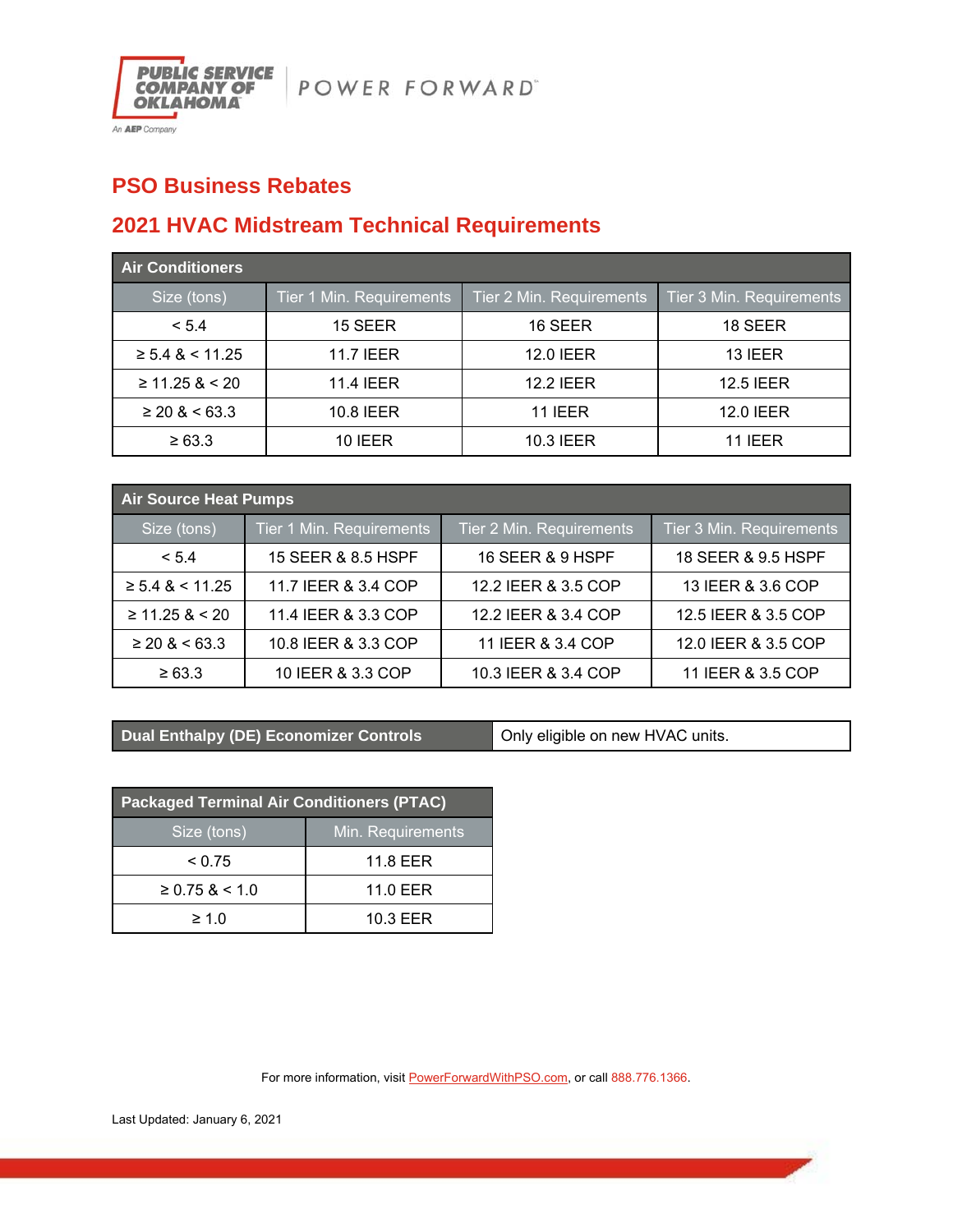

## **PSO Business Rebates**

## **2021 HVAC Midstream Technical Requirements**

| <b>Air Conditioners</b> |                          |                          |                          |  |
|-------------------------|--------------------------|--------------------------|--------------------------|--|
| Size (tons)             | Tier 1 Min. Requirements | Tier 2 Min. Requirements | Tier 3 Min. Requirements |  |
| < 5.4                   | 15 SEER                  | 16 SEER                  | 18 SEER                  |  |
| $\geq 5.4$ & < 11.25    | <b>11.7 IEER</b>         | <b>12.0 IEER</b>         | 13 IEER                  |  |
| $\geq 11.25$ & < 20     | <b>11.4 IEER</b>         | <b>12.2 IEER</b>         | <b>12.5 IEER</b>         |  |
| $\geq$ 20 & < 63.3      | 10.8 IEER                | <b>11 IEER</b>           | 12.0 IEER                |  |
| $\ge 63.3$              | <b>10 IEER</b>           | 10.3 IEER                | <b>11 IEER</b>           |  |

| <b>Air Source Heat Pumps</b> |                          |                          |                          |  |
|------------------------------|--------------------------|--------------------------|--------------------------|--|
| Size (tons)                  | Tier 1 Min. Requirements | Tier 2 Min. Requirements | Tier 3 Min. Requirements |  |
| < 5.4                        | 15 SEER & 8.5 HSPF       | 16 SEER & 9 HSPF         | 18 SEER & 9.5 HSPF       |  |
| $\geq 5.4$ & < 11.25         | 11.7 IEER & 3.4 COP      | 12.2 IEER & 3.5 COP      | 13 IEER & 3.6 COP        |  |
| $\geq$ 11.25 & < 20          | 11.4 IEER & 3.3 COP      | 12.2 IEER & 3.4 COP      | 12.5 IEER & 3.5 COP      |  |
| $\geq$ 20 & < 63.3           | 10.8 IEER & 3.3 COP      | 11 IEER & 3.4 COP        | 12.0 IEER & 3.5 COP      |  |
| $\ge 63.3$                   | 10 IEER & 3.3 COP        | 10.3 IEER & 3.4 COP      | 11 IEER & 3.5 COP        |  |

**Dual Enthalpy (DE) Economizer Controls <b>Conduct** Only eligible on new HVAC units.

| <b>Packaged Terminal Air Conditioners (PTAC)</b> |                   |  |
|--------------------------------------------------|-------------------|--|
| Size (tons)                                      | Min. Requirements |  |
| < 0.75                                           | 11.8 EER          |  |
| $\geq$ 0.75 & < 1.0                              | 11.0 EER          |  |
| $\geq 1.0$                                       | 10.3 EER          |  |

For more information, visit **PowerForwardWithPSO.com**, or call 888.776.1366.